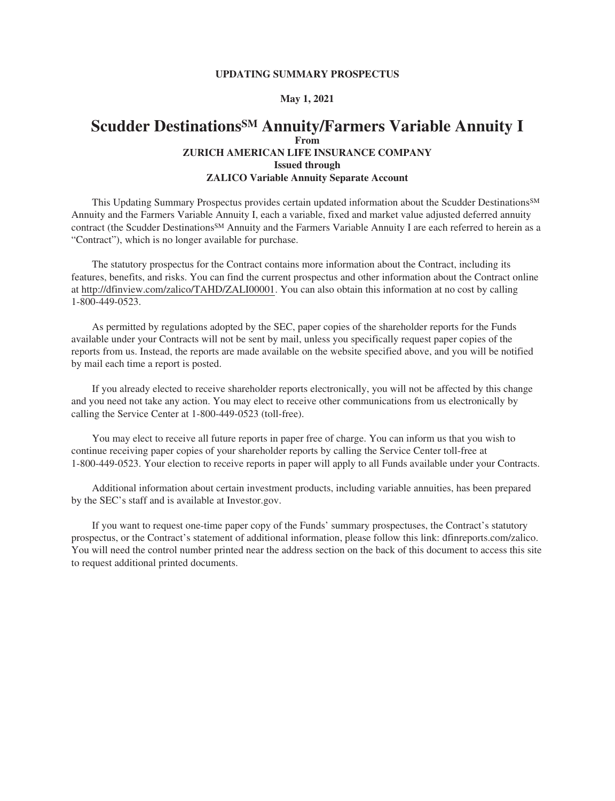#### **UPDATING SUMMARY PROSPECTUS**

#### **May 1, 2021**

## **Scudder DestinationsSM Annuity/Farmers Variable Annuity I From ZURICH AMERICAN LIFE INSURANCE [COMPANY](#page-2-0) Issued through ZALICO Variable Annuity [Separate Account](#page-3-0)**

This Updating Summary Prospectus provides certain updated information about the Scudder Destinations<sup>SM</sup> Annuity and the Farmers Variable Annuity I, each a variable, fixed and market value adjusted deferred annuity contract (the Scudder Destinations<sup>SM</sup> Annuity and the Farmers Variable Annuity I are each referred to herein as a "Contract"), which is no longer available for purchase.

The statutory prospectus for the Contract contains more information about the Contract, including its features, benefits, and risks. You can find the current prospectus and other information about the Contract online at [http://dfinview.com/zalico/TAHD/ZALI00001.](http://www.dfinview.com/zalico/TAHD/ZALI00001) You can also obtain this information at no cost by calling 1-800-449-0523.

As permitted by regulations adopted by the SEC, paper copies of the shareholder reports for the [Funds](#page-2-0) available under your Contracts will not be sent by mail, unless you specifically request paper copies of the reports from us. Instead, the reports are made available on the website specified above, and you will be notified by mail each time a report is posted.

If you already elected to receive shareholder reports electronically, you will not be affected by this change and you need not take any action. You may elect to receive other communications from us electronically by calling the [Service Center](#page-3-0) at 1-800-449-0523 (toll-free).

You may elect to receive all future reports in paper free of charge. You can inform us that you wish to continue receiving paper copies of your shareholder reports by calling the [Service Center](#page-3-0) toll-free at 1-800-449-0523. Your election to receive reports in paper will apply to all [Funds](#page-2-0) available under your Contracts.

Additional information about certain investment products, including variable annuities, has been prepared by the SEC's staff and is available at [Investor.gov.](http://www.Investor.gov)

If you want to request one-time paper copy of the [Funds](#page-2-0)' summary prospectuses, the Contract's statutory prospectus, or the Contract's statement of additional information, please follow this link: [dfinreports.com/zalico.](http://dfinreports.com/zalico) You will need the control number printed near the address section on the back of this document to access this site to request additional printed documents.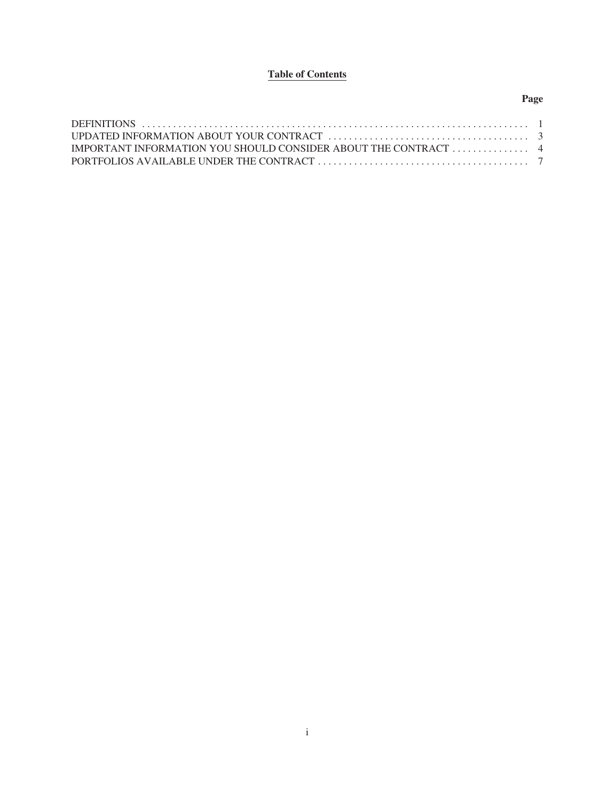# **Table of Contents**

## **Page**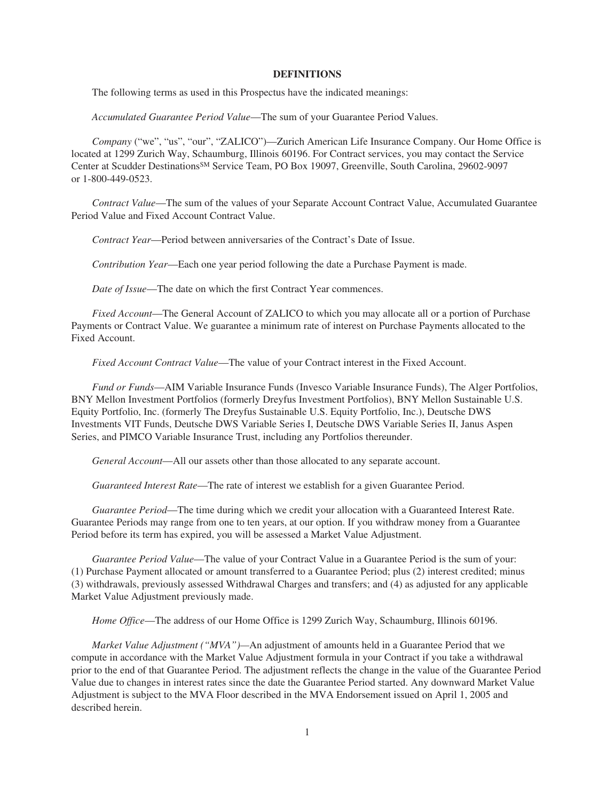#### **DEFINITIONS**

<span id="page-2-0"></span>The following terms as used in this Prospectus have the indicated meanings:

*Accumulated Guarantee Period Value*—The sum of your [Guarantee Period Value](#page-2-0)s.

*Company* ("we", "us", "our", "ZALICO")—Zurich American Life Insurance [Company](#page-2-0). Our [Home Office](#page-2-0) is located at 1299 Zurich Way, Schaumburg, Illinois 60196. For Contract services, you may contact the [Service](#page-3-0) [Center](#page-3-0) at Scudder DestinationsSM Service Team, PO Box 19097, Greenville, South Carolina, 29602-9097 or 1-800-449-0523.

*Contract Value*—The sum of the values of your [Separate Account Contract Value](#page-3-0), [Accumulated Guarantee](#page-2-0) [Period Value](#page-2-0) and [Fixed Account Contract Value.](#page-2-0)

*Contract Year*—Period between anniversaries of the Contract's [Date of Issue.](#page-2-0)

*Contribution Year*—Each one year period following the date a Purchase Payment is made.

*Date of Issue*—The date on which the first [Contract Year](#page-2-0) commences.

*Fixed Account*—The [General Account](#page-2-0) of ZALICO to which you may allocate all or a portion of [Purchase](#page-3-0) [Payments](#page-3-0) or [Contract Value](#page-2-0). We guarantee a minimum rate of interest on [Purchase Payments](#page-3-0) allocated to the [Fixed Account](#page-2-0).

*Fixed Account Contract Value*—The value of your Contract interest in the [Fixed Account](#page-2-0).

*Fund or Funds*—AIM Variable Insurance Funds (Invesco Variable Insurance Funds), The Alger [Portfolios](#page-3-0), BNY Mellon Investment [Portfolios](#page-3-0) (formerly Dreyfus Investment [Portfolio](#page-3-0)s), BNY Mellon Sustainable U.S. Equity [Portfolio,](#page-3-0) Inc. (formerly The Dreyfus Sustainable U.S. Equity [Portfolio](#page-3-0), Inc.), Deutsche DWS Investments VIT Funds, Deutsche DWS Variable Series I, Deutsche DWS Variable Series II, Janus Aspen Series, and PIMCO Variable Insurance Trust, including any [Portfolio](#page-3-0)s thereunder.

*General Account*—All our assets other than those allocated to any [separate account](#page-3-0).

*Guaranteed Interest Rate*—The rate of interest we establish for a given [Guarantee Period.](#page-2-0)

*Guarantee Period*—The time during which we credit your allocation with a [Guaranteed Interest Rate.](#page-2-0) [Guarantee Periods](#page-2-0) may range from one to ten years, at our option. If you withdraw money from a [Guarantee](#page-2-0) [Period](#page-2-0) before its term has expired, you will be assessed a [Market Value Adjustment](#page-2-0).

*Guarantee Period Value*—The value of your [Contract Value](#page-2-0) in a [Guarantee Period](#page-2-0) is the sum of your: (1) Purchase Payment allocated or amount transferred to a [Guarantee Period](#page-2-0); plus (2) interest credited; minus (3) withdrawals, previously assessed [Withdrawal Charge](#page-3-0)s and transfers; and (4) as adjusted for any applicable [Market Value Adjustment](#page-2-0) previously made.

*Home Office*—The address of our [Home Office](#page-2-0) is 1299 Zurich Way, Schaumburg, Illinois 60196.

*Market Value Adjustment ("[MVA](#page-2-0)")—*An adjustment of amounts held in a [Guarantee Period](#page-2-0) that we compute in accordance with the [Market Value Adjustment](#page-2-0) formula in your Contract if you take a withdrawal prior to the end of that [Guarantee Period](#page-2-0). The adjustment reflects the change in the value of the [Guarantee Period](#page-2-0) [Value](#page-2-0) due to changes in interest rates since the date the [Guarantee Period](#page-2-0) started. Any downward [Market Value](#page-2-0) [Adjustment](#page-2-0) is subject to the [MVA](#page-2-0) Floor described in the [MVA](#page-2-0) Endorsement issued on April 1, 2005 and described herein.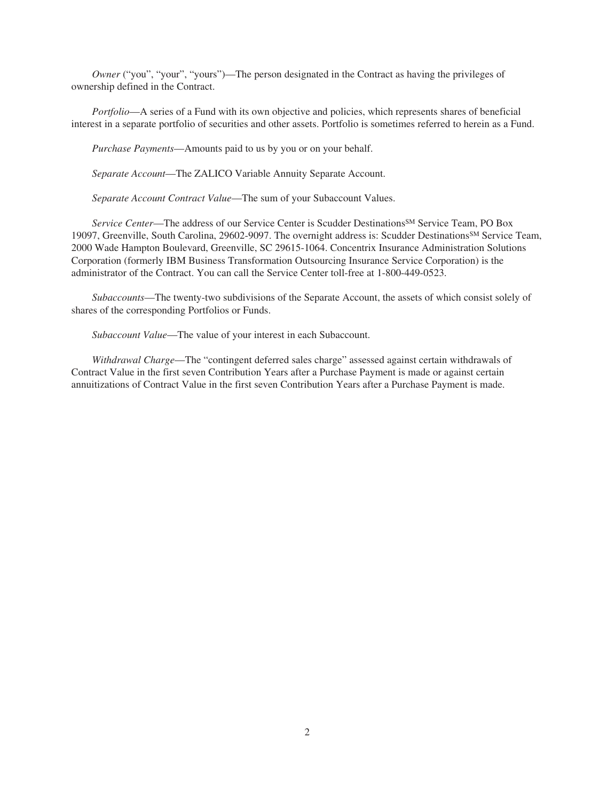<span id="page-3-0"></span>*Owner* ("you", "your", "yours")—The person designated in the Contract as having the privileges of [owners](#page-3-0)hip defined in the Contract.

*Portfolio*—A series of a [Fund](#page-2-0) with its own objective and policies, which represents shares of beneficial interest in a separate [portfolio](#page-3-0) of securities and other assets. [Portfolio](#page-3-0) is sometimes referred to herein as a [Fund](#page-2-0).

*Purchase Payments*—Amounts paid to us by you or on your behalf.

*Separate Account*—The ZALICO Variable Annuity [Separate Account](#page-3-0).

*Separate Account Contract Value*—The sum of your [Subaccount Values](#page-3-0).

*Service Center*—The address of our [Service Center](#page-3-0) is Scudder DestinationsSM Service Team, PO Box 19097, Greenville, South Carolina, 29602-9097. The overnight address is: Scudder DestinationsSM Service Team, 2000 Wade Hampton Boulevard, Greenville, SC 29615-1064. Concentrix Insurance Administration Solutions Corporation (formerly IBM Business Transformation Outsourcing Insurance Service Corporation) is the administrator of the Contract. You can call the [Service Center](#page-3-0) toll-free at 1-800-449-0523.

*Subaccounts*—The twenty-two subdivisions of the [Separate Account,](#page-3-0) the assets of which consist solely of shares of the corresponding [Portfolios](#page-3-0) or [Funds](#page-2-0).

*Subaccount Value*—The value of your interest in each Subaccount.

*Withdrawal Charge*—The "contingent deferred sales charge" assessed against certain withdrawals of [Contract Value](#page-2-0) in the first seven [Contribution Years](#page-2-0) after a Purchase Payment is made or against certain annuitizations of [Contract Value](#page-2-0) in the first seven [Contribution Year](#page-2-0)s after a Purchase Payment is made.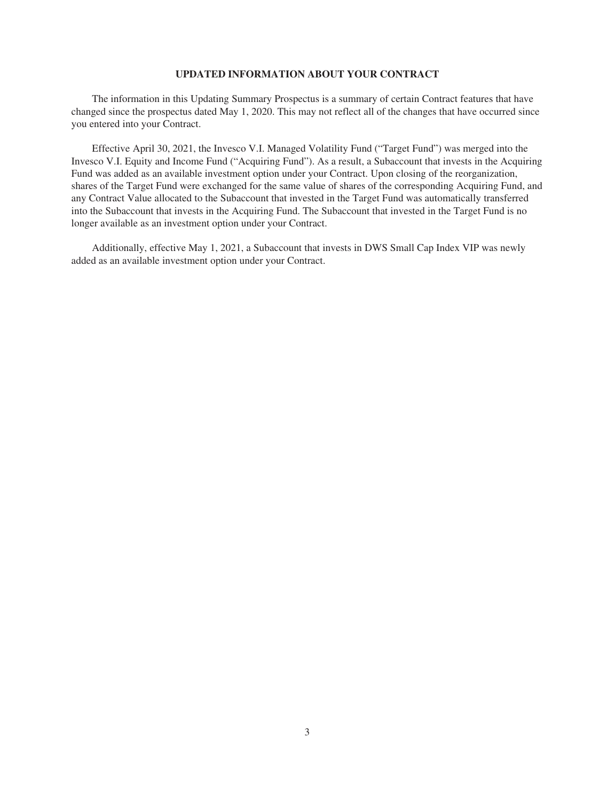#### **UPDATED INFORMATION ABOUT YOUR CONTRACT**

The information in this Updating Summary Prospectus is a summary of certain Contract features that have changed since the prospectus dated May 1, 2020. This may not reflect all of the changes that have occurred since you entered into your Contract.

Effective April 30, 2021, the Invesco V.I. Managed Volatility Fund ("Target [Fund](#page-2-0)") was merged into the Invesco V.I. Equity and Income Fund ("Acquiring [Fund"](#page-2-0)). As a result, a Subaccount that invests in the Acquiring [Fund](#page-2-0) was added as an available investment option under your Contract. Upon closing of the reorganization, shares of the Target [Fund](#page-2-0) were exchanged for the same value of shares of the corresponding Acquiring [Fund,](#page-2-0) and any [Contract Value](#page-2-0) allocated to the Subaccount that invested in the Target [Fund](#page-2-0) was automatically transferred into the Subaccount that invests in the Acquiring [Fund.](#page-2-0) The Subaccount that invested in the Target [Fund](#page-2-0) is no longer available as an investment option under your Contract.

Additionally, effective May 1, 2021, a Subaccount that invests in DWS Small Cap Index VIP was newly added as an available investment option under your Contract.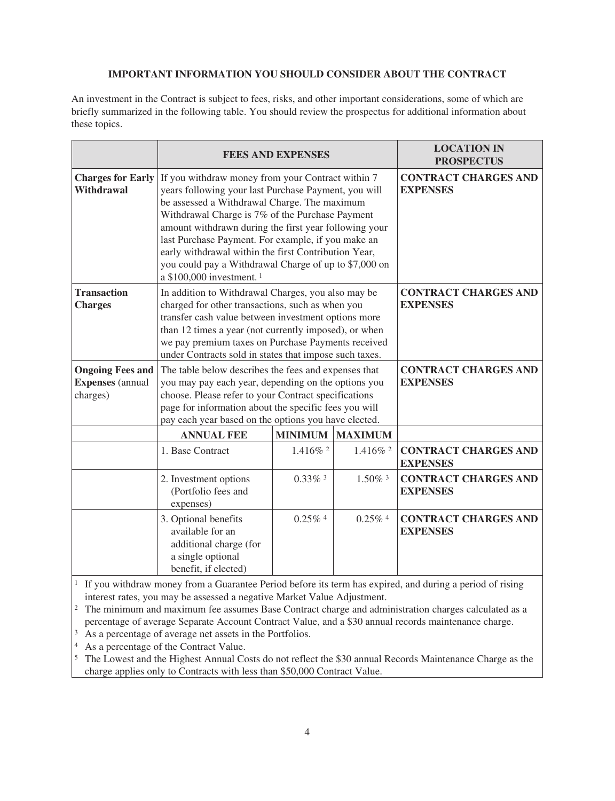## **IMPORTANT INFORMATION YOU SHOULD CONSIDER ABOUT THE CONTRACT**

An investment in the Contract is subject to fees, risks, and other important considerations, some of which are briefly summarized in the following table. You should review the prospectus for additional information about these topics.

|                                                                |                                                                                                                                                                                                                                                                                                                                        | <b>FEES AND EXPENSES</b>                                                                                                                                                                                                                                                                                                                                                                                                                                                                       |                                                | <b>LOCATION IN</b><br><b>PROSPECTUS</b>        |  |  |
|----------------------------------------------------------------|----------------------------------------------------------------------------------------------------------------------------------------------------------------------------------------------------------------------------------------------------------------------------------------------------------------------------------------|------------------------------------------------------------------------------------------------------------------------------------------------------------------------------------------------------------------------------------------------------------------------------------------------------------------------------------------------------------------------------------------------------------------------------------------------------------------------------------------------|------------------------------------------------|------------------------------------------------|--|--|
| <b>Charges for Early</b><br>Withdrawal                         | a \$100,000 investment. <sup>1</sup>                                                                                                                                                                                                                                                                                                   | <b>CONTRACT CHARGES AND</b><br>If you withdraw money from your Contract within 7<br>years following your last Purchase Payment, you will<br><b>EXPENSES</b><br>be assessed a Withdrawal Charge. The maximum<br>Withdrawal Charge is 7% of the Purchase Payment<br>amount withdrawn during the first year following your<br>last Purchase Payment. For example, if you make an<br>early withdrawal within the first Contribution Year,<br>you could pay a Withdrawal Charge of up to \$7,000 on |                                                |                                                |  |  |
| <b>Transaction</b><br><b>Charges</b>                           | In addition to Withdrawal Charges, you also may be<br>charged for other transactions, such as when you<br>transfer cash value between investment options more<br>than 12 times a year (not currently imposed), or when<br>we pay premium taxes on Purchase Payments received<br>under Contracts sold in states that impose such taxes. |                                                                                                                                                                                                                                                                                                                                                                                                                                                                                                |                                                | <b>CONTRACT CHARGES AND</b><br><b>EXPENSES</b> |  |  |
| <b>Ongoing Fees and</b><br><b>Expenses</b> (annual<br>charges) | The table below describes the fees and expenses that<br>you may pay each year, depending on the options you<br>choose. Please refer to your Contract specifications<br>page for information about the specific fees you will<br>pay each year based on the options you have elected.                                                   |                                                                                                                                                                                                                                                                                                                                                                                                                                                                                                | <b>CONTRACT CHARGES AND</b><br><b>EXPENSES</b> |                                                |  |  |
|                                                                | <b>ANNUAL FEE</b>                                                                                                                                                                                                                                                                                                                      | <b>MINIMUM</b>                                                                                                                                                                                                                                                                                                                                                                                                                                                                                 | <b>MAXIMUM</b>                                 |                                                |  |  |
|                                                                | 1. Base Contract                                                                                                                                                                                                                                                                                                                       | $1.416\%$ <sup>2</sup>                                                                                                                                                                                                                                                                                                                                                                                                                                                                         | 1.416% 2                                       | <b>CONTRACT CHARGES AND</b><br><b>EXPENSES</b> |  |  |
|                                                                | 2. Investment options<br>(Portfolio fees and<br>expenses)                                                                                                                                                                                                                                                                              | $0.33\%$ <sup>3</sup>                                                                                                                                                                                                                                                                                                                                                                                                                                                                          | 1.50% 3                                        | <b>CONTRACT CHARGES AND</b><br><b>EXPENSES</b> |  |  |
|                                                                | 3. Optional benefits<br>available for an<br>additional charge (for<br>a single optional<br>benefit, if elected)                                                                                                                                                                                                                        | $0.25\%$ <sup>4</sup>                                                                                                                                                                                                                                                                                                                                                                                                                                                                          | $0.25\%$ <sup>4</sup>                          | <b>CONTRACT CHARGES AND</b><br><b>EXPENSES</b> |  |  |

<sup>1</sup> If you withdraw money from a [Guarantee Period](#page-2-0) before its term has expired, and during a period of rising interest rates, you may be assessed a negative [Market Value Adjustment.](#page-2-0)

<sup>2</sup> The minimum and maximum fee assumes Base Contract charge and administration charges calculated as a percentage of average [Separate Account Contract Value,](#page-3-0) and a \$30 annual records maintenance charge.

<sup>3</sup> As a percentage of average net assets in the [Portfolio](#page-3-0)s.

<sup>4</sup> As a percentage of the [Contract Value.](#page-2-0)

<sup>5</sup> The Lowest and the Highest Annual Costs do not reflect the \$30 annual Records Maintenance Charge as the charge applies only to Contracts with less than \$50,000 [Contract Value](#page-2-0).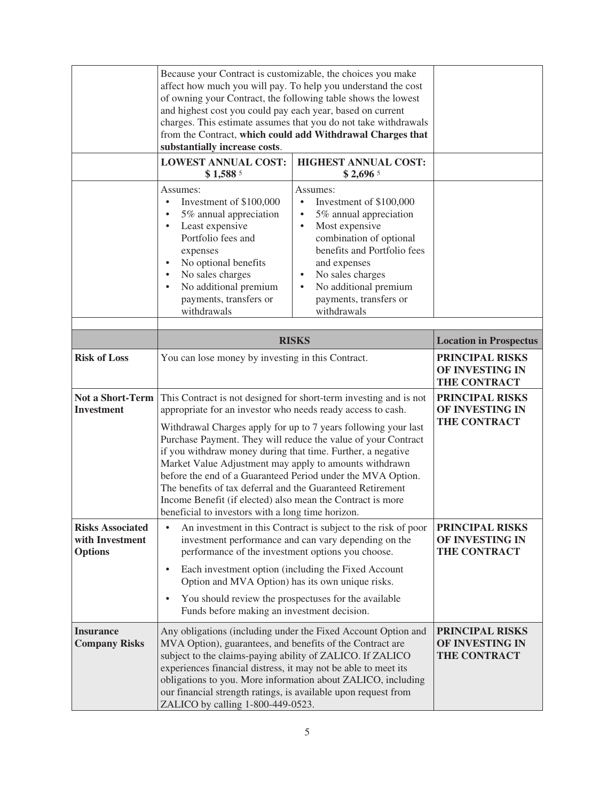|                                                              | Because your Contract is customizable, the choices you make<br>affect how much you will pay. To help you understand the cost<br>of owning your Contract, the following table shows the lowest<br>and highest cost you could pay each year, based on current<br>charges. This estimate assumes that you do not take withdrawals<br>from the Contract, which could add Withdrawal Charges that<br>substantially increase costs.                                                                                                                                                                                                                |                                                                                                                                                                                                                                                                                                                  |                               |
|--------------------------------------------------------------|----------------------------------------------------------------------------------------------------------------------------------------------------------------------------------------------------------------------------------------------------------------------------------------------------------------------------------------------------------------------------------------------------------------------------------------------------------------------------------------------------------------------------------------------------------------------------------------------------------------------------------------------|------------------------------------------------------------------------------------------------------------------------------------------------------------------------------------------------------------------------------------------------------------------------------------------------------------------|-------------------------------|
|                                                              | <b>LOWEST ANNUAL COST:</b><br>\$1,5885                                                                                                                                                                                                                                                                                                                                                                                                                                                                                                                                                                                                       | <b>HIGHEST ANNUAL COST:</b><br>$$2,696$ <sup>5</sup>                                                                                                                                                                                                                                                             |                               |
|                                                              | Assumes:<br>Investment of \$100,000<br>$\bullet$<br>5% annual appreciation<br>Least expensive<br>٠<br>Portfolio fees and<br>expenses<br>No optional benefits<br>$\bullet$<br>No sales charges<br>$\bullet$<br>No additional premium<br>$\bullet$<br>payments, transfers or<br>withdrawals                                                                                                                                                                                                                                                                                                                                                    | Assumes:<br>Investment of \$100,000<br>$\bullet$<br>5% annual appreciation<br>$\bullet$<br>Most expensive<br>$\bullet$<br>combination of optional<br>benefits and Portfolio fees<br>and expenses<br>No sales charges<br>$\bullet$<br>No additional premium<br>$\bullet$<br>payments, transfers or<br>withdrawals |                               |
|                                                              |                                                                                                                                                                                                                                                                                                                                                                                                                                                                                                                                                                                                                                              | <b>RISKS</b>                                                                                                                                                                                                                                                                                                     | <b>Location in Prospectus</b> |
| <b>Risk of Loss</b>                                          | You can lose money by investing in this Contract.                                                                                                                                                                                                                                                                                                                                                                                                                                                                                                                                                                                            | PRINCIPAL RISKS<br>OF INVESTING IN<br>THE CONTRACT                                                                                                                                                                                                                                                               |                               |
| Not a Short-Term<br><b>Investment</b>                        | This Contract is not designed for short-term investing and is not<br>appropriate for an investor who needs ready access to cash.<br>Withdrawal Charges apply for up to 7 years following your last<br>Purchase Payment. They will reduce the value of your Contract<br>if you withdraw money during that time. Further, a negative<br>Market Value Adjustment may apply to amounts withdrawn<br>before the end of a Guaranteed Period under the MVA Option.<br>The benefits of tax deferral and the Guaranteed Retirement<br>Income Benefit (if elected) also mean the Contract is more<br>beneficial to investors with a long time horizon. | PRINCIPAL RISKS<br>OF INVESTING IN<br>THE CONTRACT                                                                                                                                                                                                                                                               |                               |
| <b>Risks Associated</b><br>with Investment<br><b>Options</b> | An investment in this Contract is subject to the risk of poor<br>$\bullet$<br>investment performance and can vary depending on the<br>performance of the investment options you choose.<br>Each investment option (including the Fixed Account<br>$\bullet$<br>Option and MVA Option) has its own unique risks.<br>You should review the prospectuses for the available<br>$\bullet$                                                                                                                                                                                                                                                         | PRINCIPAL RISKS<br>OF INVESTING IN<br>THE CONTRACT                                                                                                                                                                                                                                                               |                               |
| <b>Insurance</b><br><b>Company Risks</b>                     | Funds before making an investment decision.<br>Any obligations (including under the Fixed Account Option and<br>MVA Option), guarantees, and benefits of the Contract are<br>subject to the claims-paying ability of ZALICO. If ZALICO<br>experiences financial distress, it may not be able to meet its                                                                                                                                                                                                                                                                                                                                     | PRINCIPAL RISKS<br>OF INVESTING IN<br>THE CONTRACT                                                                                                                                                                                                                                                               |                               |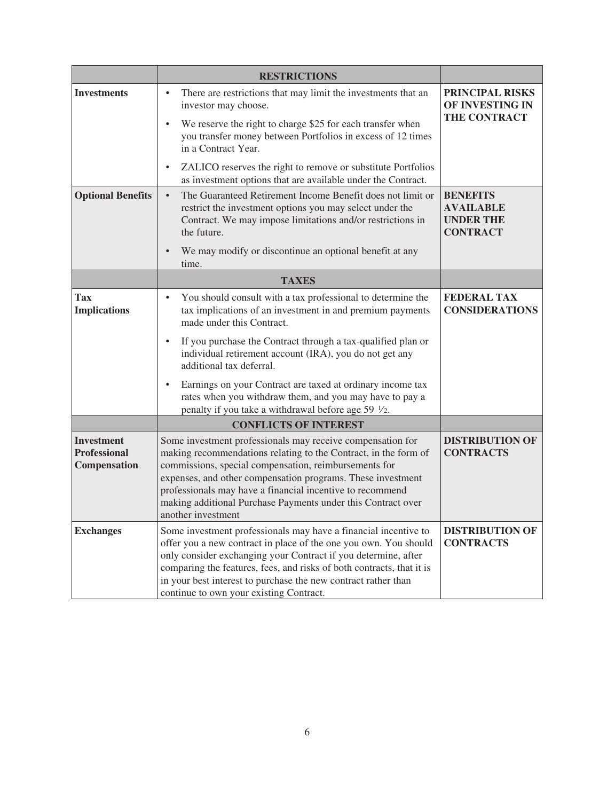|                                                                                                                                                                  | <b>RESTRICTIONS</b>                                                                                                                                                                                                                                                                                                                                                                                      |                                             |  |
|------------------------------------------------------------------------------------------------------------------------------------------------------------------|----------------------------------------------------------------------------------------------------------------------------------------------------------------------------------------------------------------------------------------------------------------------------------------------------------------------------------------------------------------------------------------------------------|---------------------------------------------|--|
| <b>Investments</b>                                                                                                                                               | <b>PRINCIPAL RISKS</b><br>OF INVESTING IN<br>THE CONTRACT                                                                                                                                                                                                                                                                                                                                                |                                             |  |
|                                                                                                                                                                  | ZALICO reserves the right to remove or substitute Portfolios<br>$\bullet$<br>as investment options that are available under the Contract.                                                                                                                                                                                                                                                                |                                             |  |
| <b>Optional Benefits</b>                                                                                                                                         | The Guaranteed Retirement Income Benefit does not limit or<br><b>BENEFITS</b><br>$\bullet$<br>restrict the investment options you may select under the<br><b>AVAILABLE</b><br>Contract. We may impose limitations and/or restrictions in<br><b>UNDER THE</b><br>the future.<br><b>CONTRACT</b><br>We may modify or discontinue an optional benefit at any                                                |                                             |  |
|                                                                                                                                                                  | time.                                                                                                                                                                                                                                                                                                                                                                                                    |                                             |  |
|                                                                                                                                                                  | <b>TAXES</b>                                                                                                                                                                                                                                                                                                                                                                                             |                                             |  |
| Tax<br><b>Implications</b>                                                                                                                                       | You should consult with a tax professional to determine the<br>$\bullet$<br>tax implications of an investment in and premium payments<br>made under this Contract.                                                                                                                                                                                                                                       | <b>FEDERAL TAX</b><br><b>CONSIDERATIONS</b> |  |
| If you purchase the Contract through a tax-qualified plan or<br>$\bullet$<br>individual retirement account (IRA), you do not get any<br>additional tax deferral. |                                                                                                                                                                                                                                                                                                                                                                                                          |                                             |  |
|                                                                                                                                                                  | Earnings on your Contract are taxed at ordinary income tax<br>$\bullet$<br>rates when you withdraw them, and you may have to pay a<br>penalty if you take a withdrawal before age 59 $\frac{1}{2}$ .                                                                                                                                                                                                     |                                             |  |
|                                                                                                                                                                  | <b>CONFLICTS OF INTEREST</b>                                                                                                                                                                                                                                                                                                                                                                             |                                             |  |
| <b>Investment</b><br><b>Professional</b><br>Compensation                                                                                                         | Some investment professionals may receive compensation for<br>making recommendations relating to the Contract, in the form of<br>commissions, special compensation, reimbursements for<br>expenses, and other compensation programs. These investment<br>professionals may have a financial incentive to recommend<br>making additional Purchase Payments under this Contract over<br>another investment | <b>DISTRIBUTION OF</b><br><b>CONTRACTS</b>  |  |
| <b>Exchanges</b>                                                                                                                                                 | Some investment professionals may have a financial incentive to<br>offer you a new contract in place of the one you own. You should<br>only consider exchanging your Contract if you determine, after<br>comparing the features, fees, and risks of both contracts, that it is<br>in your best interest to purchase the new contract rather than<br>continue to own your existing Contract.              | <b>DISTRIBUTION OF</b><br><b>CONTRACTS</b>  |  |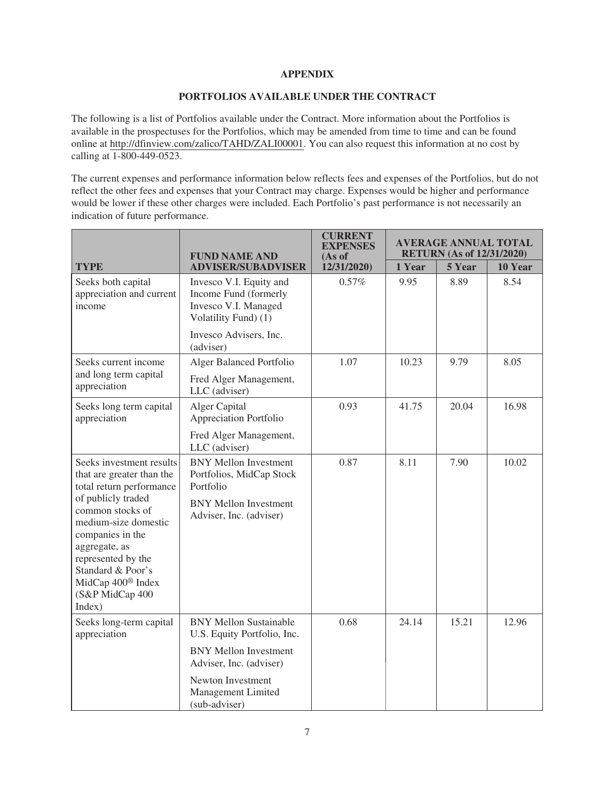## **APPENDIX**

### **[PORTFOLIOS](#page-3-0) AVAILABLE UNDER THE CONTRACT**

The following is a list of [Portfolios](#page-3-0) available under the Contract. More information about the [Portfolios](#page-3-0) is available in the prospectuses for the [Portfolios](#page-3-0), which may be amended from time to time and can be found online at [http://dfinview.com/zalico/TAHD/ZALI00001.](http://www.dfinview.com/zalico/TAHD/ZALI00001) You can also request this information at no cost by calling at 1-800-449-0523.

The current expenses and performance information below reflects fees and expenses of the [Portfolios](#page-3-0), but do not reflect the other fees and expenses that your Contract may charge. Expenses would be higher and performance would be lower if these other charges were included. Each [Portfolio](#page-3-0)'s past performance is not necessarily an indication of future performance.

|                                                                                                                                                                                                                                                                                                   | <b>FUND NAME AND</b>                                                                             | CURRENT<br><b>EXPENSES</b><br>(As of | <b>AVERAGE ANNUAL TOTAL</b><br><b>RETURN</b> (As of 12/31/2020) |        |         |
|---------------------------------------------------------------------------------------------------------------------------------------------------------------------------------------------------------------------------------------------------------------------------------------------------|--------------------------------------------------------------------------------------------------|--------------------------------------|-----------------------------------------------------------------|--------|---------|
| <b>TYPE</b>                                                                                                                                                                                                                                                                                       | <b>ADVISER/SUBADVISER</b>                                                                        | 12/31/2020)                          | 1 Year                                                          | 5 Year | 10 Year |
| Seeks both capital<br>appreciation and current<br>income                                                                                                                                                                                                                                          | Invesco V.I. Equity and<br>Income Fund (formerly<br>Invesco V.I. Managed<br>Volatility Fund) (1) | 0.57%                                | 9.95                                                            | 8.89   | 8.54    |
|                                                                                                                                                                                                                                                                                                   | Invesco Advisers, Inc.<br>(adviser)                                                              |                                      |                                                                 |        |         |
| Seeks current income                                                                                                                                                                                                                                                                              | Alger Balanced Portfolio                                                                         | 1.07                                 | 10.23                                                           | 9.79   | 8.05    |
| and long term capital<br>appreciation                                                                                                                                                                                                                                                             | Fred Alger Management,<br>LLC (adviser)                                                          |                                      |                                                                 |        |         |
| Seeks long term capital<br>appreciation                                                                                                                                                                                                                                                           | Alger Capital<br>Appreciation Portfolio                                                          | 0.93                                 | 41.75                                                           | 20.04  | 16.98   |
|                                                                                                                                                                                                                                                                                                   | Fred Alger Management,<br>LLC (adviser)                                                          |                                      |                                                                 |        |         |
| Seeks investment results<br>that are greater than the<br>total return performance<br>of publicly traded<br>common stocks of<br>medium-size domestic<br>companies in the<br>aggregate, as<br>represented by the<br>Standard & Poor's<br>MidCap 400 <sup>®</sup> Index<br>(S&P MidCap 400<br>Index) | <b>BNY Mellon Investment</b><br>Portfolios, MidCap Stock<br>Portfolio                            | 0.87                                 | 8.11                                                            | 7.90   | 10.02   |
|                                                                                                                                                                                                                                                                                                   | <b>BNY Mellon Investment</b><br>Adviser, Inc. (adviser)                                          |                                      |                                                                 |        |         |
| Seeks long-term capital<br>appreciation                                                                                                                                                                                                                                                           | <b>BNY Mellon Sustainable</b><br>U.S. Equity Portfolio, Inc.                                     | 0.68                                 | 24.14                                                           | 15.21  | 12.96   |
|                                                                                                                                                                                                                                                                                                   | <b>BNY Mellon Investment</b><br>Adviser, Inc. (adviser)                                          |                                      |                                                                 |        |         |
|                                                                                                                                                                                                                                                                                                   | Newton Investment<br>Management Limited<br>(sub-adviser)                                         |                                      |                                                                 |        |         |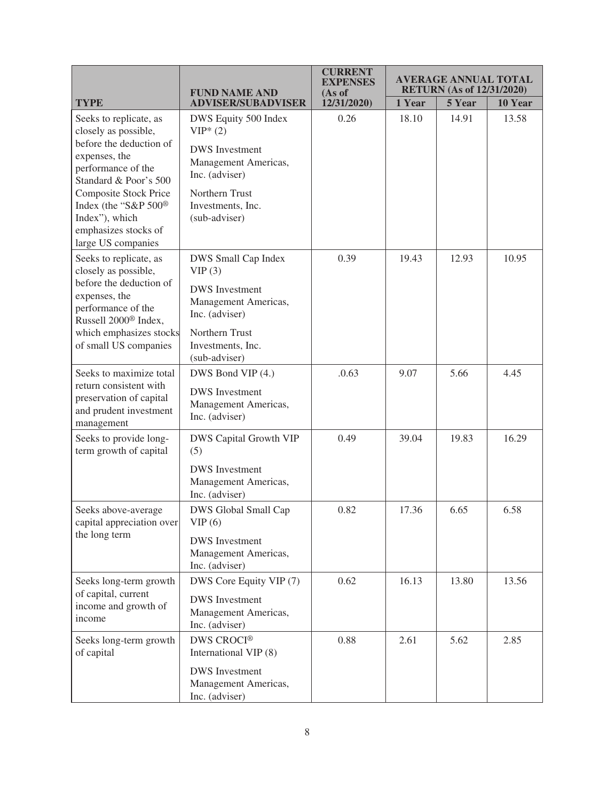|                                                                                                                                                                                                                                                                   | <b>FUND NAME AND</b>                                                                                                                                         | <b>CURRENT</b><br><b>EXPENSES</b><br>(As of | <b>AVERAGE ANNUAL TOTAL</b><br><b>RETURN</b> (As of 12/31/2020) |        |         |
|-------------------------------------------------------------------------------------------------------------------------------------------------------------------------------------------------------------------------------------------------------------------|--------------------------------------------------------------------------------------------------------------------------------------------------------------|---------------------------------------------|-----------------------------------------------------------------|--------|---------|
| <b>TYPE</b>                                                                                                                                                                                                                                                       | <b>ADVISER/SUBADVISER</b>                                                                                                                                    | 12/31/2020)                                 | 1 Year                                                          | 5 Year | 10 Year |
| Seeks to replicate, as<br>closely as possible,<br>before the deduction of<br>expenses, the<br>performance of the<br>Standard & Poor's 500<br><b>Composite Stock Price</b><br>Index (the "S&P 500®<br>Index"), which<br>emphasizes stocks of<br>large US companies | DWS Equity 500 Index<br>$VIP*(2)$<br><b>DWS</b> Investment<br>Management Americas,<br>Inc. (adviser)<br>Northern Trust<br>Investments, Inc.<br>(sub-adviser) | 0.26                                        | 18.10                                                           | 14.91  | 13.58   |
| Seeks to replicate, as<br>closely as possible,<br>before the deduction of<br>expenses, the<br>performance of the<br>Russell 2000 <sup>®</sup> Index,<br>which emphasizes stocks<br>of small US companies                                                          | DWS Small Cap Index<br>VIP(3)<br><b>DWS</b> Investment<br>Management Americas,<br>Inc. (adviser)<br>Northern Trust<br>Investments, Inc.<br>(sub-adviser)     | 0.39                                        | 19.43                                                           | 12.93  | 10.95   |
| Seeks to maximize total<br>return consistent with<br>preservation of capital<br>and prudent investment<br>management                                                                                                                                              | DWS Bond VIP (4.)<br><b>DWS</b> Investment<br>Management Americas,<br>Inc. (adviser)                                                                         | .0.63                                       | 9.07                                                            | 5.66   | 4.45    |
| Seeks to provide long-<br>term growth of capital                                                                                                                                                                                                                  | <b>DWS Capital Growth VIP</b><br>(5)<br><b>DWS</b> Investment<br>Management Americas,<br>Inc. (adviser)                                                      | 0.49                                        | 39.04                                                           | 19.83  | 16.29   |
| Seeks above-average<br>capital appreciation over<br>the long term                                                                                                                                                                                                 | DWS Global Small Cap<br>VIP(6)<br><b>DWS</b> Investment<br>Management Americas,<br>Inc. (adviser)                                                            | 0.82                                        | 17.36                                                           | 6.65   | 6.58    |
| Seeks long-term growth<br>of capital, current<br>income and growth of<br>income                                                                                                                                                                                   | DWS Core Equity VIP (7)<br><b>DWS</b> Investment<br>Management Americas,<br>Inc. (adviser)                                                                   | 0.62                                        | 16.13                                                           | 13.80  | 13.56   |
| Seeks long-term growth<br>of capital                                                                                                                                                                                                                              | <b>DWS CROCI®</b><br>International VIP (8)<br><b>DWS</b> Investment<br>Management Americas,<br>Inc. (adviser)                                                | 0.88                                        | 2.61                                                            | 5.62   | 2.85    |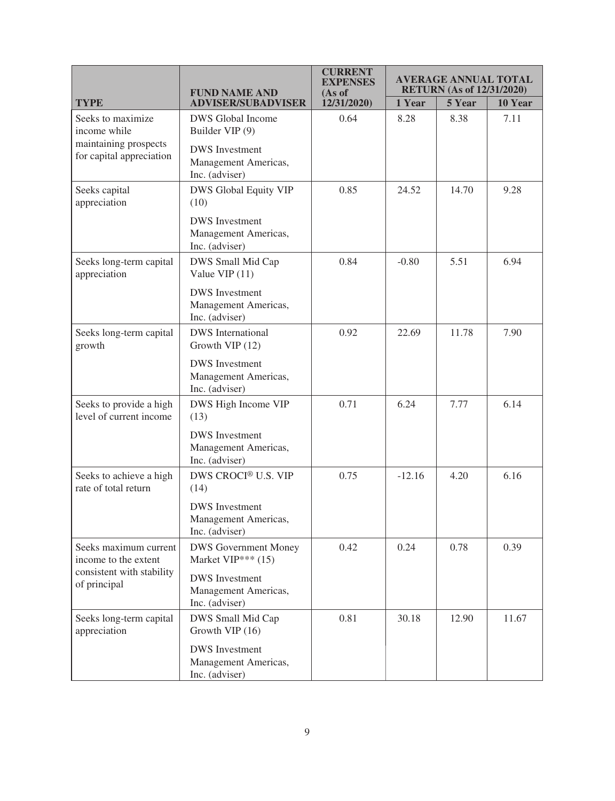|                                                                                            | <b>FUND NAME AND</b>                                                                                                 | <b>CURRENT</b><br>EXPENSES<br>(As of | <b>AVERAGE ANNUAL TOTAL</b><br><b>RETURN</b> (As of 12/31/2020) |        |         |
|--------------------------------------------------------------------------------------------|----------------------------------------------------------------------------------------------------------------------|--------------------------------------|-----------------------------------------------------------------|--------|---------|
| <b>TYPE</b>                                                                                | <b>ADVISER/SUBADVISER</b>                                                                                            | 12/31/2020)                          | 1 Year                                                          | 5 Year | 10 Year |
| Seeks to maximize<br>income while<br>maintaining prospects<br>for capital appreciation     | <b>DWS</b> Global Income<br>Builder VIP (9)<br><b>DWS</b> Investment<br>Management Americas,<br>Inc. (adviser)       | 0.64                                 | 8.28                                                            | 8.38   | 7.11    |
| Seeks capital<br>appreciation                                                              | <b>DWS Global Equity VIP</b><br>(10)<br><b>DWS</b> Investment<br>Management Americas,<br>Inc. (adviser)              | 0.85                                 | 24.52                                                           | 14.70  | 9.28    |
| Seeks long-term capital<br>appreciation                                                    | DWS Small Mid Cap<br>Value VIP (11)<br><b>DWS</b> Investment<br>Management Americas,<br>Inc. (adviser)               | 0.84                                 | $-0.80$                                                         | 5.51   | 6.94    |
| Seeks long-term capital<br>growth                                                          | <b>DWS</b> International<br>Growth VIP (12)<br><b>DWS</b> Investment<br>Management Americas,<br>Inc. (adviser)       | 0.92                                 | 22.69                                                           | 11.78  | 7.90    |
| Seeks to provide a high<br>level of current income                                         | DWS High Income VIP<br>(13)<br><b>DWS</b> Investment<br>Management Americas,<br>Inc. (adviser)                       | 0.71                                 | 6.24                                                            | 7.77   | 6.14    |
| Seeks to achieve a high<br>rate of total return                                            | DWS CROCI® U.S. VIP<br>(14)<br><b>DWS</b> Investment<br>Management Americas,<br>Inc. (adviser)                       | 0.75                                 | $-12.16$                                                        | 4.20   | 6.16    |
| Seeks maximum current<br>income to the extent<br>consistent with stability<br>of principal | <b>DWS Government Money</b><br>Market VIP*** (15)<br><b>DWS</b> Investment<br>Management Americas,<br>Inc. (adviser) | 0.42                                 | 0.24                                                            | 0.78   | 0.39    |
| Seeks long-term capital<br>appreciation                                                    | DWS Small Mid Cap<br>Growth VIP (16)<br><b>DWS</b> Investment<br>Management Americas,<br>Inc. (adviser)              | 0.81                                 | 30.18                                                           | 12.90  | 11.67   |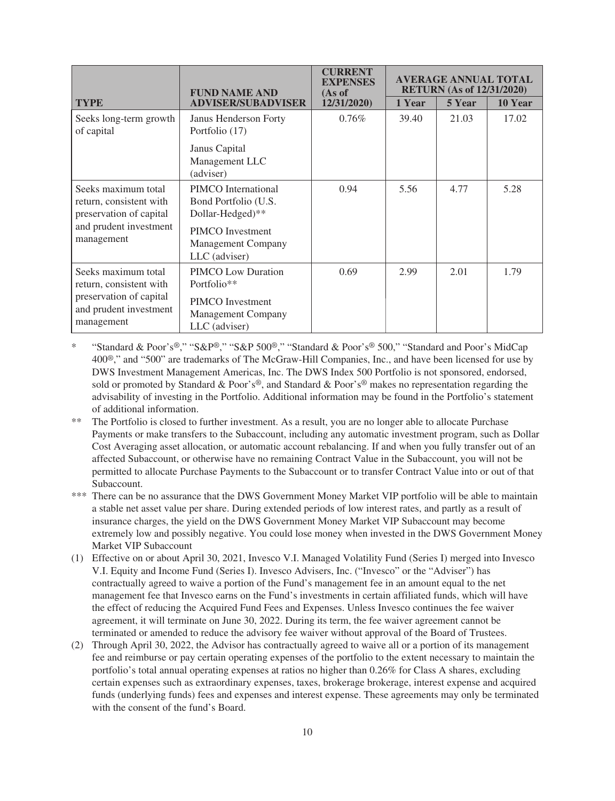|                                                                                                                   | <b>FUND NAME AND</b>                                                                                                       | <b>CURRENT</b><br><b>EXPENSES</b><br>(As of | <b>AVERAGE ANNUAL TOTAL</b><br><b>RETURN</b> (As of 12/31/2020) |        |         |
|-------------------------------------------------------------------------------------------------------------------|----------------------------------------------------------------------------------------------------------------------------|---------------------------------------------|-----------------------------------------------------------------|--------|---------|
| <b>TYPE</b>                                                                                                       | <b>ADVISER/SUBADVISER</b>                                                                                                  | 12/31/2020)                                 | 1 Year                                                          | 5 Year | 10 Year |
| Seeks long-term growth<br>of capital                                                                              | Janus Henderson Forty<br>Portfolio (17)                                                                                    | 0.76%                                       | 39.40                                                           | 21.03  | 17.02   |
|                                                                                                                   | Janus Capital<br>Management LLC<br>(adviser)                                                                               |                                             |                                                                 |        |         |
| Seeks maximum total<br>return, consistent with<br>preservation of capital<br>and prudent investment<br>management | PIMCO International<br>Bond Portfolio (U.S.<br>Dollar-Hedged)**<br>PIMCO Investment<br>Management Company<br>LLC (adviser) | 0.94                                        | 5.56                                                            | 4.77   | 5.28    |
| Seeks maximum total<br>return, consistent with<br>preservation of capital<br>and prudent investment<br>management | PIMCO Low Duration<br>Portfolio**<br>PIMCO Investment<br><b>Management Company</b><br>LLC (adviser)                        | 0.69                                        | 2.99                                                            | 2.01   | 1.79    |

- \* "Standard & Poor's®," "S&P®," "S&P 500®," "Standard & Poor's® 500," "Standard and Poor's MidCap 400®," and "500" are trademarks of The McGraw-Hill Companies, Inc., and have been licensed for use by DWS Investment Management Americas, Inc. The DWS Index 500 [Portfolio](#page-3-0) is not sponsored, endorsed, sold or promoted by Standard & Poor's®, and Standard & Poor's® makes no representation regarding the advisability of investing in the [Portfolio](#page-3-0). Additional information may be found in the [Portfolio](#page-3-0)'s statement of additional information.
- \*\* The [Portfolio](#page-3-0) is closed to further investment. As a result, you are no longer able to allocate [Purchase](#page-3-0) [Payments](#page-3-0) or make transfers to the Subaccount, including any automatic investment program, such as Dollar Cost Averaging asset allocation, or automatic account rebalancing. If and when you fully transfer out of an affected Subaccount, or otherwise have no remaining [Contract Value](#page-2-0) in the Subaccount, you will not be permitted to allocate [Purchase Payments](#page-3-0) to the Subaccount or to transfer [Contract Value](#page-2-0) into or out of that Subaccount.
- \*\*\* There can be no assurance that the DWS Government Money Market VIP [portfolio](#page-3-0) will be able to maintain a stable net asset value per share. During extended periods of low interest rates, and partly as a result of insurance charges, the yield on the DWS Government Money Market VIP Subaccount may become extremely low and possibly negative. You could lose money when invested in the DWS Government Money Market VIP Subaccount
- (1) Effective on or about April 30, 2021, Invesco V.I. Managed Volatility Fund (Series I) merged into Invesco V.I. Equity and Income Fund (Series I). Invesco Advisers, Inc. ("Invesco" or the "Adviser") has contractually agreed to waive a portion of the [Fund](#page-2-0)'s management fee in an amount equal to the net management fee that Invesco earns on the [Fund](#page-2-0)'s investments in certain affiliated [funds](#page-2-0), which will have the effect of reducing the Acquired [Fund](#page-2-0) Fees and Expenses. Unless Invesco continues the fee waiver agreement, it will terminate on June 30, 2022. During its term, the fee waiver agreement cannot be terminated or amended to reduce the advisory fee waiver without approval of the Board of Trustees.
- (2) Through April 30, 2022, the Advisor has contractually agreed to waive all or a portion of its management fee and reimburse or pay certain operating expenses of the [portfolio](#page-3-0) to the extent necessary to maintain the [portfolio](#page-3-0)'s total annual operating expenses at ratios no higher than 0.26% for Class A shares, excluding certain expenses such as extraordinary expenses, taxes, brokerage brokerage, interest expense and acquired [funds](#page-2-0) (underlying [funds](#page-2-0)) fees and expenses and interest expense. These agreements may only be terminated with the consent of the [fund](#page-2-0)'s Board.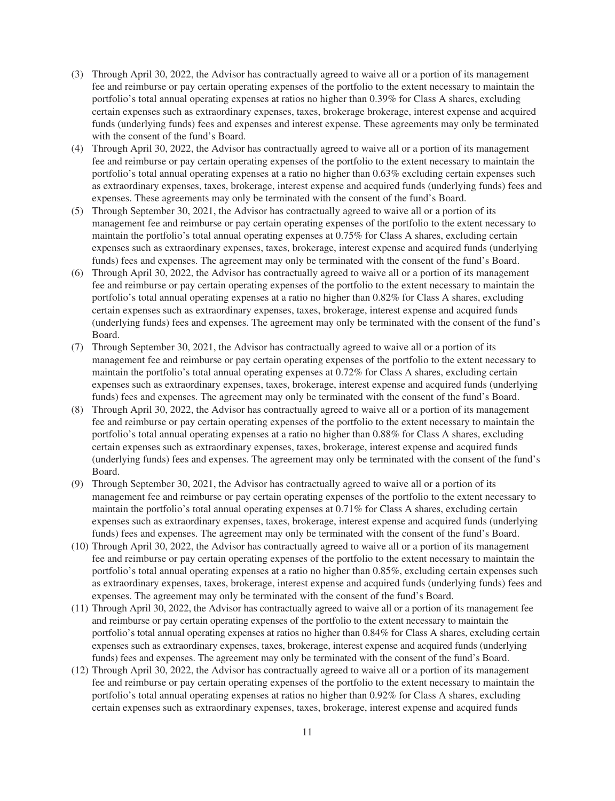- (3) Through April 30, 2022, the Advisor has contractually agreed to waive all or a portion of its management fee and reimburse or pay certain operating expenses of the [portfolio](#page-3-0) to the extent necessary to maintain the [portfolio](#page-3-0)'s total annual operating expenses at ratios no higher than 0.39% for Class A shares, excluding certain expenses such as extraordinary expenses, taxes, brokerage brokerage, interest expense and acquired [funds](#page-2-0) (underlying [funds](#page-2-0)) fees and expenses and interest expense. These agreements may only be terminated with the consent of the [fund](#page-2-0)'s Board.
- (4) Through April 30, 2022, the Advisor has contractually agreed to waive all or a portion of its management fee and reimburse or pay certain operating expenses of the [portfolio](#page-3-0) to the extent necessary to maintain the [portfolio](#page-3-0)'s total annual operating expenses at a ratio no higher than 0.63% excluding certain expenses such as extraordinary expenses, taxes, brokerage, interest expense and acquired [funds](#page-2-0) (underlying [funds](#page-2-0)) fees and expenses. These agreements may only be terminated with the consent of the [fund](#page-2-0)'s Board.
- (5) Through September 30, 2021, the Advisor has contractually agreed to waive all or a portion of its management fee and reimburse or pay certain operating expenses of the [portfolio](#page-3-0) to the extent necessary to maintain the [portfolio](#page-3-0)'s total annual operating expenses at 0.75% for Class A shares, excluding certain expenses such as extraordinary expenses, taxes, brokerage, interest expense and acquired [funds](#page-2-0) (underlying [funds](#page-2-0)) fees and expenses. The agreement may only be terminated with the consent of the [fund'](#page-2-0)s Board.
- (6) Through April 30, 2022, the Advisor has contractually agreed to waive all or a portion of its management fee and reimburse or pay certain operating expenses of the [portfolio](#page-3-0) to the extent necessary to maintain the [portfolio](#page-3-0)'s total annual operating expenses at a ratio no higher than 0.82% for Class A shares, excluding certain expenses such as extraordinary expenses, taxes, brokerage, interest expense and acquired [funds](#page-2-0) (underlying [funds](#page-2-0)) fees and expenses. The agreement may only be terminated with the consent of the [fund'](#page-2-0)s Board.
- (7) Through September 30, 2021, the Advisor has contractually agreed to waive all or a portion of its management fee and reimburse or pay certain operating expenses of the [portfolio](#page-3-0) to the extent necessary to maintain the [portfolio](#page-3-0)'s total annual operating expenses at 0.72% for Class A shares, excluding certain expenses such as extraordinary expenses, taxes, brokerage, interest expense and acquired [funds](#page-2-0) (underlying [funds](#page-2-0)) fees and expenses. The agreement may only be terminated with the consent of the [fund'](#page-2-0)s Board.
- (8) Through April 30, 2022, the Advisor has contractually agreed to waive all or a portion of its management fee and reimburse or pay certain operating expenses of the [portfolio](#page-3-0) to the extent necessary to maintain the [portfolio](#page-3-0)'s total annual operating expenses at a ratio no higher than 0.88% for Class A shares, excluding certain expenses such as extraordinary expenses, taxes, brokerage, interest expense and acquired [funds](#page-2-0) (underlying [funds](#page-2-0)) fees and expenses. The agreement may only be terminated with the consent of the [fund'](#page-2-0)s Board.
- (9) Through September 30, 2021, the Advisor has contractually agreed to waive all or a portion of its management fee and reimburse or pay certain operating expenses of the [portfolio](#page-3-0) to the extent necessary to maintain the [portfolio](#page-3-0)'s total annual operating expenses at 0.71% for Class A shares, excluding certain expenses such as extraordinary expenses, taxes, brokerage, interest expense and acquired [funds](#page-2-0) (underlying [funds](#page-2-0)) fees and expenses. The agreement may only be terminated with the consent of the [fund'](#page-2-0)s Board.
- (10) Through April 30, 2022, the Advisor has contractually agreed to waive all or a portion of its management fee and reimburse or pay certain operating expenses of the [portfolio](#page-3-0) to the extent necessary to maintain the [portfolio](#page-3-0)'s total annual operating expenses at a ratio no higher than 0.85%, excluding certain expenses such as extraordinary expenses, taxes, brokerage, interest expense and acquired [funds](#page-2-0) (underlying [funds](#page-2-0)) fees and expenses. The agreement may only be terminated with the consent of the [fund'](#page-2-0)s Board.
- (11) Through April 30, 2022, the Advisor has contractually agreed to waive all or a portion of its management fee and reimburse or pay certain operating expenses of the [portfolio](#page-3-0) to the extent necessary to maintain the [portfolio](#page-3-0)'s total annual operating expenses at ratios no higher than 0.84% for Class A shares, excluding certain expenses such as extraordinary expenses, taxes, brokerage, interest expense and acquired [funds](#page-2-0) (underlying [funds\)](#page-2-0) fees and expenses. The agreement may only be terminated with the consent of the [fund'](#page-2-0)s Board.
- (12) Through April 30, 2022, the Advisor has contractually agreed to waive all or a portion of its management fee and reimburse or pay certain operating expenses of the [portfolio](#page-3-0) to the extent necessary to maintain the [portfolio](#page-3-0)'s total annual operating expenses at ratios no higher than 0.92% for Class A shares, excluding certain expenses such as extraordinary expenses, taxes, brokerage, interest expense and acquired [funds](#page-2-0)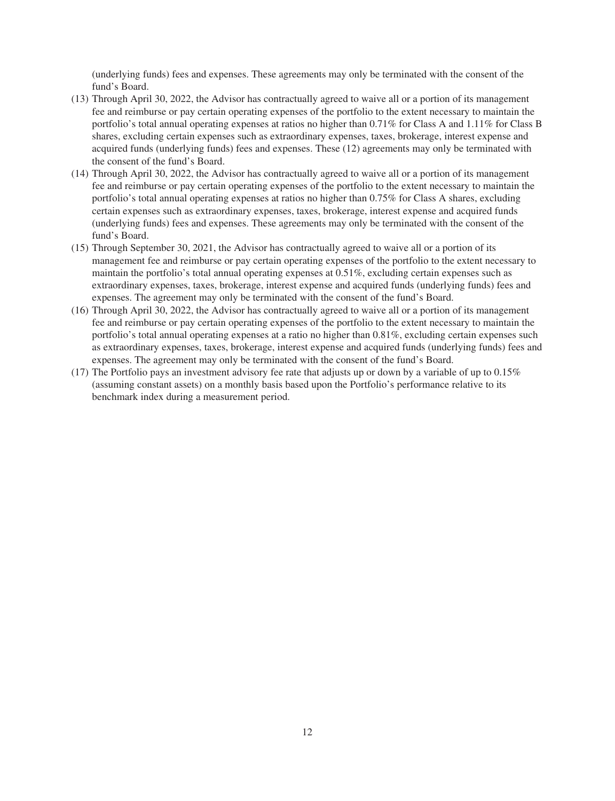(underlying [funds](#page-2-0)) fees and expenses. These agreements may only be terminated with the consent of the [fund](#page-2-0)'s Board.

- (13) Through April 30, 2022, the Advisor has contractually agreed to waive all or a portion of its management fee and reimburse or pay certain operating expenses of the [portfolio](#page-3-0) to the extent necessary to maintain the [portfolio](#page-3-0)'s total annual operating expenses at ratios no higher than 0.71% for Class A and 1.11% for Class B shares, excluding certain expenses such as extraordinary expenses, taxes, brokerage, interest expense and acquired [funds](#page-2-0) (underlying [funds](#page-2-0)) fees and expenses. These (12) agreements may only be terminated with the consent of the [fund'](#page-2-0)s Board.
- (14) Through April 30, 2022, the Advisor has contractually agreed to waive all or a portion of its management fee and reimburse or pay certain operating expenses of the [portfolio](#page-3-0) to the extent necessary to maintain the [portfolio](#page-3-0)'s total annual operating expenses at ratios no higher than 0.75% for Class A shares, excluding certain expenses such as extraordinary expenses, taxes, brokerage, interest expense and acquired [funds](#page-2-0) (underlying [funds](#page-2-0)) fees and expenses. These agreements may only be terminated with the consent of the [fund](#page-2-0)'s Board.
- (15) Through September 30, 2021, the Advisor has contractually agreed to waive all or a portion of its management fee and reimburse or pay certain operating expenses of the [portfolio](#page-3-0) to the extent necessary to maintain the [portfolio](#page-3-0)'s total annual operating expenses at 0.51%, excluding certain expenses such as extraordinary expenses, taxes, brokerage, interest expense and acquired [funds](#page-2-0) (underlying [funds](#page-2-0)) fees and expenses. The agreement may only be terminated with the consent of the [fund'](#page-2-0)s Board.
- (16) Through April 30, 2022, the Advisor has contractually agreed to waive all or a portion of its management fee and reimburse or pay certain operating expenses of the [portfolio](#page-3-0) to the extent necessary to maintain the [portfolio](#page-3-0)'s total annual operating expenses at a ratio no higher than 0.81%, excluding certain expenses such as extraordinary expenses, taxes, brokerage, interest expense and acquired [funds](#page-2-0) (underlying [funds](#page-2-0)) fees and expenses. The agreement may only be terminated with the consent of the [fund'](#page-2-0)s Board.
- (17) The [Portfolio](#page-3-0) pays an investment advisory fee rate that adjusts up or down by a variable of up to 0.15% (assuming constant assets) on a monthly basis based upon the [Portfolio'](#page-3-0)s performance relative to its benchmark index during a measurement period.